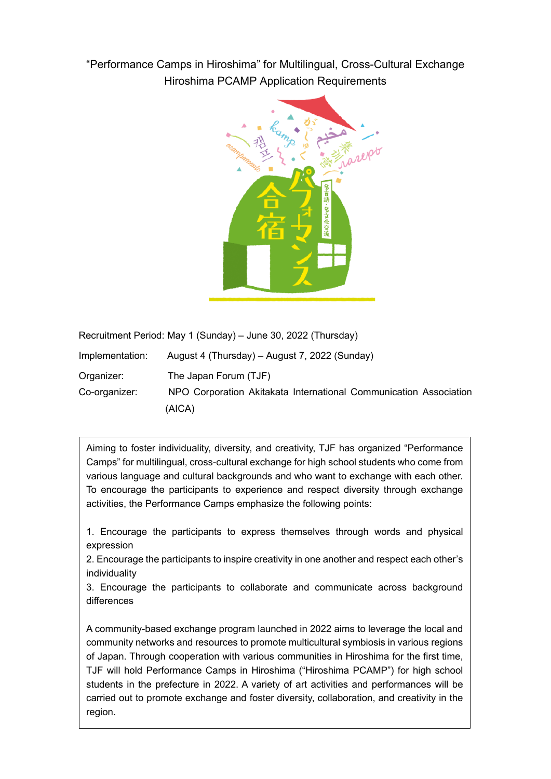"Performance Camps in Hiroshima" for Multilingual, Cross-Cultural Exchange Hiroshima PCAMP Application Requirements



Recruitment Period: May 1 (Sunday) – June 30, 2022 (Thursday)

| Implementation: | August 4 (Thursday) – August 7, 2022 (Sunday)                     |
|-----------------|-------------------------------------------------------------------|
| Organizer:      | The Japan Forum (TJF)                                             |
| Co-organizer:   | NPO Corporation Akitakata International Communication Association |
|                 | (AICA)                                                            |

Aiming to foster individuality, diversity, and creativity, TJF has organized "Performance Camps" for multilingual, cross-cultural exchange for high school students who come from various language and cultural backgrounds and who want to exchange with each other. To encourage the participants to experience and respect diversity through exchange activities, the Performance Camps emphasize the following points:

1. Encourage the participants to express themselves through words and physical expression

2. Encourage the participants to inspire creativity in one another and respect each other's individuality

3. Encourage the participants to collaborate and communicate across background differences

A community-based exchange program launched in 2022 aims to leverage the local and community networks and resources to promote multicultural symbiosis in various regions of Japan. Through cooperation with various communities in Hiroshima for the first time, TJF will hold Performance Camps in Hiroshima ("Hiroshima PCAMP") for high school students in the prefecture in 2022. A variety of art activities and performances will be carried out to promote exchange and foster diversity, collaboration, and creativity in the region.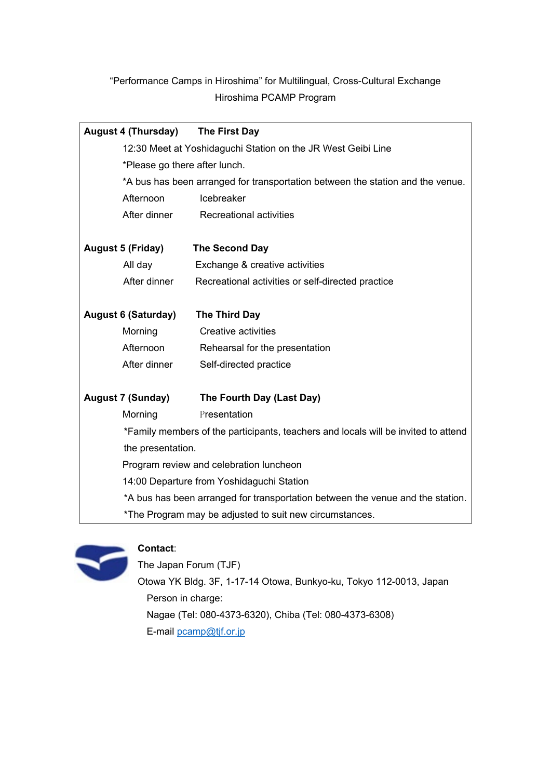# "Performance Camps in Hiroshima" for Multilingual, Cross-Cultural Exchange Hiroshima PCAMP Program

| <b>August 4 (Thursday)</b> |                                                                                    | The First Day                                                |  |
|----------------------------|------------------------------------------------------------------------------------|--------------------------------------------------------------|--|
|                            |                                                                                    | 12:30 Meet at Yoshidaguchi Station on the JR West Geibi Line |  |
|                            | *Please go there after lunch.                                                      |                                                              |  |
|                            | *A bus has been arranged for transportation between the station and the venue.     |                                                              |  |
|                            | Afternoon                                                                          | Icebreaker                                                   |  |
|                            | After dinner                                                                       | Recreational activities                                      |  |
|                            | <b>August 5 (Friday)</b>                                                           | <b>The Second Day</b>                                        |  |
|                            | All day                                                                            | Exchange & creative activities                               |  |
|                            | After dinner                                                                       | Recreational activities or self-directed practice            |  |
| <b>August 6 (Saturday)</b> |                                                                                    | The Third Day                                                |  |
|                            | Morning                                                                            | <b>Creative activities</b>                                   |  |
|                            | Afternoon                                                                          | Rehearsal for the presentation                               |  |
|                            | After dinner                                                                       | Self-directed practice                                       |  |
|                            | <b>August 7 (Sunday)</b>                                                           | The Fourth Day (Last Day)                                    |  |
|                            | Morning                                                                            | Presentation                                                 |  |
|                            | *Family members of the participants, teachers and locals will be invited to attend |                                                              |  |
|                            | the presentation.                                                                  |                                                              |  |
|                            | Program review and celebration luncheon                                            |                                                              |  |
|                            | 14:00 Departure from Yoshidaguchi Station                                          |                                                              |  |
|                            | *A bus has been arranged for transportation between the venue and the station.     |                                                              |  |
|                            | *The Program may be adjusted to suit new circumstances.                            |                                                              |  |



## **Contact**:

The Japan Forum (TJF) Otowa YK Bldg. 3F, 1-17-14 Otowa, Bunkyo-ku, Tokyo 112-0013, Japan Person in charge: Nagae (Tel: 080-4373-6320), Chiba (Tel: 080-4373-6308) E-mail [pcamp@tjf.or.jp](mailto:pcamp@tjf.or.jp)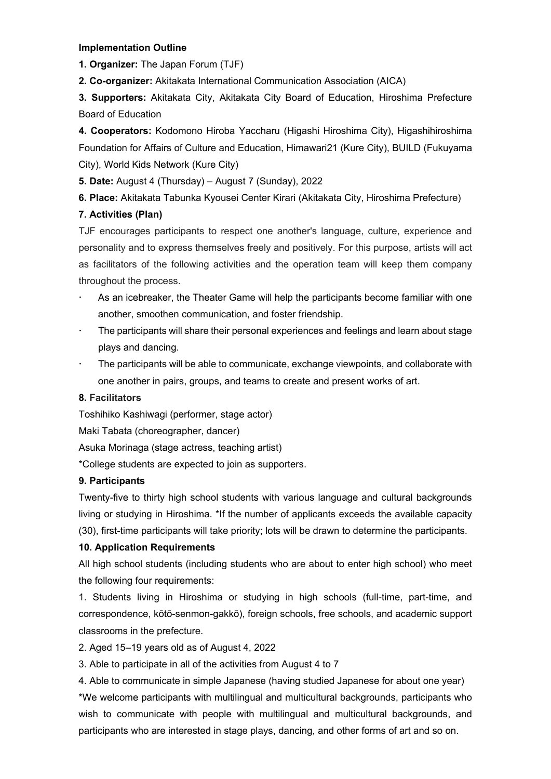#### **Implementation Outline**

**1. Organizer:** The Japan Forum (TJF)

**2. Co-organizer:** Akitakata International Communication Association (AICA)

**3. Supporters:** Akitakata City, Akitakata City Board of Education, Hiroshima Prefecture Board of Education

**4. Cooperators:** Kodomono Hiroba Yaccharu (Higashi Hiroshima City), Higashihiroshima Foundation for Affairs of Culture and Education, Himawari21 (Kure City), BUILD (Fukuyama City), World Kids Network (Kure City)

**5. Date:** August 4 (Thursday) – August 7 (Sunday), 2022

**6. Place:** Akitakata Tabunka Kyousei Center Kirari (Akitakata City, Hiroshima Prefecture)

## **7. Activities (Plan)**

TJF encourages participants to respect one another's language, culture, experience and personality and to express themselves freely and positively. For this purpose, artists will act as facilitators of the following activities and the operation team will keep them company throughout the process.

- As an icebreaker, the Theater Game will help the participants become familiar with one another, smoothen communication, and foster friendship.
- The participants will share their personal experiences and feelings and learn about stage plays and dancing.
- The participants will be able to communicate, exchange viewpoints, and collaborate with one another in pairs, groups, and teams to create and present works of art.

### **8. Facilitators**

Toshihiko Kashiwagi (performer, stage actor)

Maki Tabata (choreographer, dancer)

Asuka Morinaga (stage actress, teaching artist)

\*College students are expected to join as supporters.

### **9. Participants**

Twenty-five to thirty high school students with various language and cultural backgrounds living or studying in Hiroshima. \*If the number of applicants exceeds the available capacity (30), first-time participants will take priority; lots will be drawn to determine the participants.

### **10. Application Requirements**

All high school students (including students who are about to enter high school) who meet the following four requirements:

1. Students living in Hiroshima or studying in high schools (full-time, part-time, and correspondence, kōtō-senmon-gakkō), foreign schools, free schools, and academic support classrooms in the prefecture.

2. Aged 15–19 years old as of August 4, 2022

3. Able to participate in all of the activities from August 4 to 7

4. Able to communicate in simple Japanese (having studied Japanese for about one year) \*We welcome participants with multilingual and multicultural backgrounds, participants who wish to communicate with people with multilingual and multicultural backgrounds, and

participants who are interested in stage plays, dancing, and other forms of art and so on.